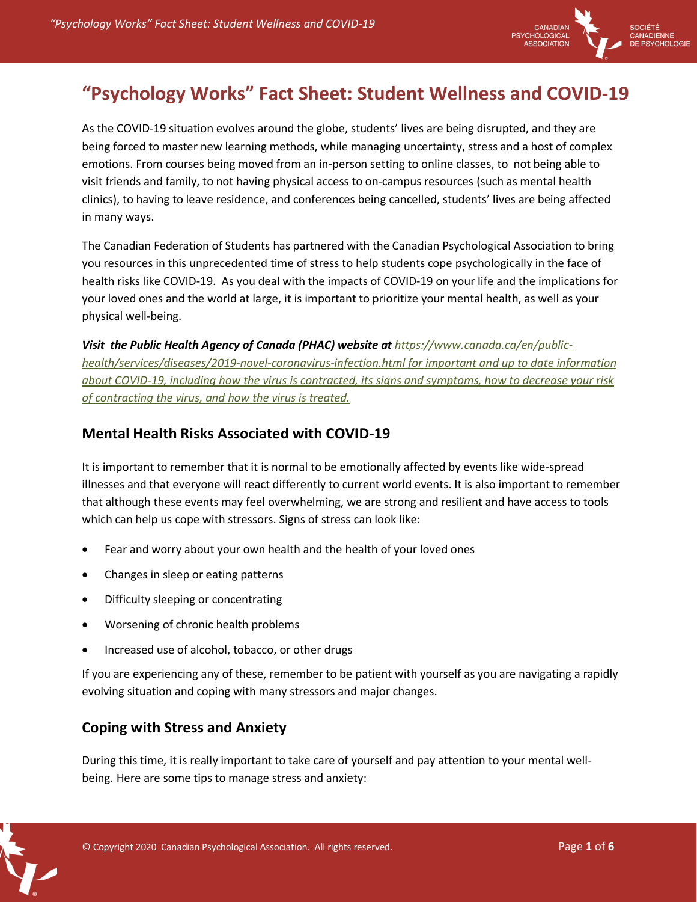

# **"Psychology Works" Fact Sheet: Student Wellness and COVID-19**

As the COVID-19 situation evolves around the globe, students' lives are being disrupted, and they are being forced to master new learning methods, while managing uncertainty, stress and a host of complex emotions. From courses being moved from an in-person setting to online classes, to not being able to visit friends and family, to not having physical access to on-campus resources (such as mental health clinics), to having to leave residence, and conferences being cancelled, students' lives are being affected in many ways.

The Canadian Federation of Students has partnered with the Canadian Psychological Association to bring you resources in this unprecedented time of stress to help students cope psychologically in the face of health risks like COVID-19. As you deal with the impacts of COVID-19 on your life and the implications for your loved ones and the world at large, it is important to prioritize your mental health, as well as your physical well-being.

*Visit the Public Health Agency of Canada (PHAC) website at https://www.canada.ca/en/publichealth/services/diseases/2019-novel-coronavirus-infection.html for important and up to date information about COVID-19, including how the virus is contracted, its signs and symptoms, how to decrease your risk of contracting the virus, and how the virus is treated.* 

# **Mental Health Risks Associated with COVID-19**

It is important to remember that it is normal to be emotionally affected by events like wide-spread illnesses and that everyone will react differently to current world events. It is also important to remember that although these events may feel overwhelming, we are strong and resilient and have access to tools which can help us cope with stressors. Signs of stress can look like:

- Fear and worry about your own health and the health of your loved ones
- Changes in sleep or eating patterns
- Difficulty sleeping or concentrating
- Worsening of chronic health problems
- Increased use of alcohol, tobacco, or other drugs

If you are experiencing any of these, remember to be patient with yourself as you are navigating a rapidly evolving situation and coping with many stressors and major changes.

## **Coping with Stress and Anxiety**

During this time, it is really important to take care of yourself and pay attention to your mental wellbeing. Here are some tips to manage stress and anxiety:

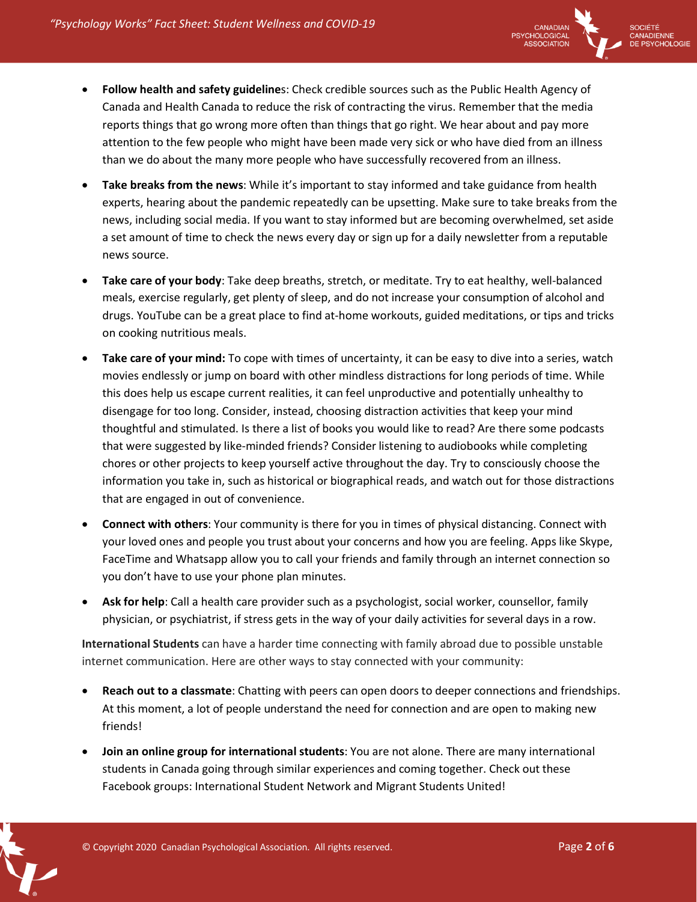

- **Follow health and safety guideline**s: Check credible sources such as the Public Health Agency of Canada and Health Canada to reduce the risk of contracting the virus. Remember that the media reports things that go wrong more often than things that go right. We hear about and pay more attention to the few people who might have been made very sick or who have died from an illness than we do about the many more people who have successfully recovered from an illness.
- **Take breaks from the news**: While it's important to stay informed and take guidance from health experts, hearing about the pandemic repeatedly can be upsetting. Make sure to take breaks from the news, including social media. If you want to stay informed but are becoming overwhelmed, set aside a set amount of time to check the news every day or sign up for a daily newsletter from a reputable news source.
- **Take care of your body**: Take deep breaths, stretch, or meditate. Try to eat healthy, well-balanced meals, exercise regularly, get plenty of sleep, and do not increase your consumption of alcohol and drugs. YouTube can be a great place to find at-home workouts, guided meditations, or tips and tricks on cooking nutritious meals.
- **Take care of your mind:** To cope with times of uncertainty, it can be easy to dive into a series, watch movies endlessly or jump on board with other mindless distractions for long periods of time. While this does help us escape current realities, it can feel unproductive and potentially unhealthy to disengage for too long. Consider, instead, choosing distraction activities that keep your mind thoughtful and stimulated. Is there a list of books you would like to read? Are there some podcasts that were suggested by like-minded friends? Consider listening to audiobooks while completing chores or other projects to keep yourself active throughout the day. Try to consciously choose the information you take in, such as historical or biographical reads, and watch out for those distractions that are engaged in out of convenience.
- **Connect with others**: Your community is there for you in times of physical distancing. Connect with your loved ones and people you trust about your concerns and how you are feeling. Apps like Skype, FaceTime and Whatsapp allow you to call your friends and family through an internet connection so you don't have to use your phone plan minutes.
- **Ask for help**: Call a health care provider such as a psychologist, social worker, counsellor, family physician, or psychiatrist, if stress gets in the way of your daily activities for several days in a row.

**International Students** can have a harder time connecting with family abroad due to possible unstable internet communication. Here are other ways to stay connected with your community:

- **Reach out to a classmate**: Chatting with peers can open doors to deeper connections and friendships. At this moment, a lot of people understand the need for connection and are open to making new friends!
- **Join an online group for international students**: You are not alone. There are many international students in Canada going through similar experiences and coming together. Check out these Facebook groups: International Student Network and Migrant Students United!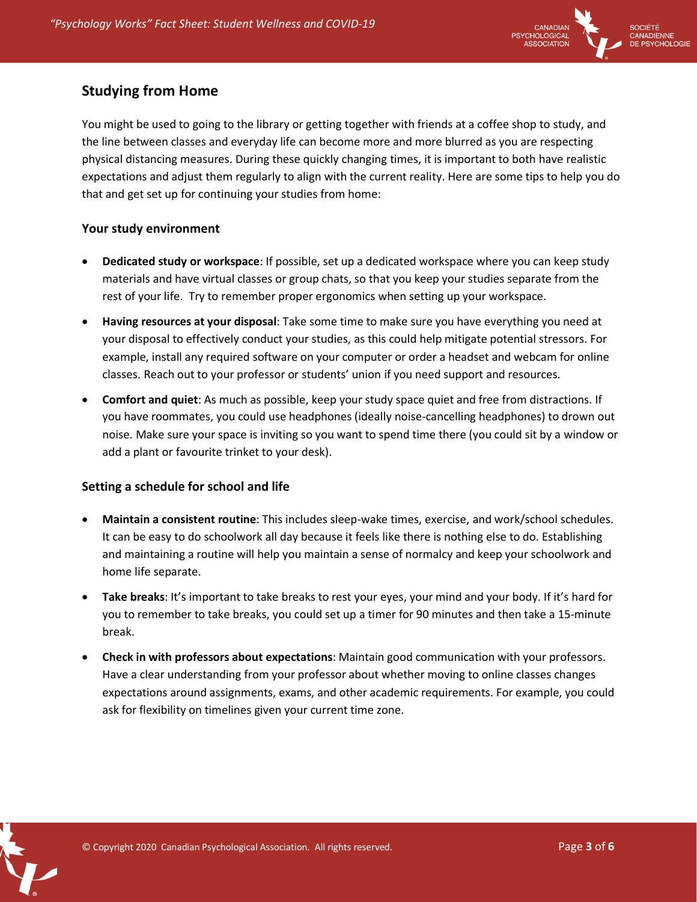

## **Studying from Home**

You might be used to going to the library or getting together with friends at a coffee shop to study, and the line between classes and everyday life can become more and more blurred as you are respecting physical distancing measures. During these quickly changing times, it is important to both have realistic expectations and adjust them regularly to align with the current reality. Here are some tips to help you do that and get set up for continuing your studies from home:

#### **Your study environment**

- **Dedicated study or workspace**: If possible, set up a dedicated workspace where you can keep study materials and have virtual classes or group chats, so that you keep your studies separate from the rest of your life. Try to remember proper ergonomics when setting up your workspace.
- **Having resources at your disposal**: Take some time to make sure you have everything you need at your disposal to effectively conduct your studies, as this could help mitigate potential stressors. For example, install any required software on your computer or order a headset and webcam for online classes. Reach out to your professor or students' union if you need support and resources.
- **Comfort and quiet**: As much as possible, keep your study space quiet and free from distractions. If you have roommates, you could use headphones (ideally noise-cancelling headphones) to drown out noise. Make sure your space is inviting so you want to spend time there (you could sit by a window or add a plant or favourite trinket to your desk).

#### **Setting a schedule for school and life**

- **Maintain a consistent routine**: This includes sleep-wake times, exercise, and work/school schedules. It can be easy to do schoolwork all day because it feels like there is nothing else to do. Establishing and maintaining a routine will help you maintain a sense of normalcy and keep your schoolwork and home life separate.
- **Take breaks**: It's important to take breaks to rest your eyes, your mind and your body. If it's hard for you to remember to take breaks, you could set up a timer for 90 minutes and then take a 15-minute break.
- **Check in with professors about expectations**: Maintain good communication with your professors. Have a clear understanding from your professor about whether moving to online classes changes expectations around assignments, exams, and other academic requirements. For example, you could ask for flexibility on timelines given your current time zone.

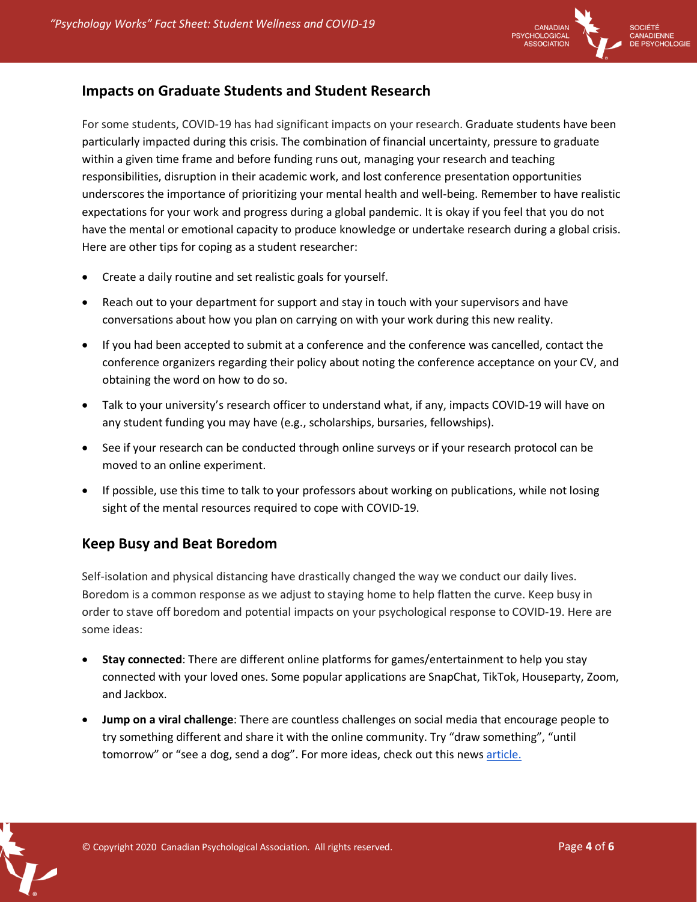

#### **Impacts on Graduate Students and Student Research**

For some students, COVID-19 has had significant impacts on your research. Graduate students have been particularly impacted during this crisis. The combination of financial uncertainty, pressure to graduate within a given time frame and before funding runs out, managing your research and teaching responsibilities, disruption in their academic work, and lost conference presentation opportunities underscores the importance of prioritizing your mental health and well-being. Remember to have realistic expectations for your work and progress during a global pandemic. It is okay if you feel that you do not have the mental or emotional capacity to produce knowledge or undertake research during a global crisis. Here are other tips for coping as a student researcher:

- Create a daily routine and set realistic goals for yourself.
- Reach out to your department for support and stay in touch with your supervisors and have conversations about how you plan on carrying on with your work during this new reality.
- If you had been accepted to submit at a conference and the conference was cancelled, contact the conference organizers regarding their policy about noting the conference acceptance on your CV, and obtaining the word on how to do so.
- Talk to your university's research officer to understand what, if any, impacts COVID-19 will have on any student funding you may have (e.g., scholarships, bursaries, fellowships).
- See if your research can be conducted through online surveys or if your research protocol can be moved to an online experiment.
- If possible, use this time to talk to your professors about working on publications, while not losing sight of the mental resources required to cope with COVID-19.

## **Keep Busy and Beat Boredom**

Self-isolation and physical distancing have drastically changed the way we conduct our daily lives. Boredom is a common response as we adjust to staying home to help flatten the curve. Keep busy in order to stave off boredom and potential impacts on your psychological response to COVID-19. Here are some ideas:

- **Stay connected**: There are different online platforms for games/entertainment to help you stay connected with your loved ones. Some popular applications are SnapChat, TikTok, Houseparty, Zoom, and Jackbox.
- **Jump on a viral challenge**: There are countless challenges on social media that encourage people to try something different and share it with the online community. Try "draw something", "until tomorrow" or "see a dog, send a dog". For more ideas, check out this news article.

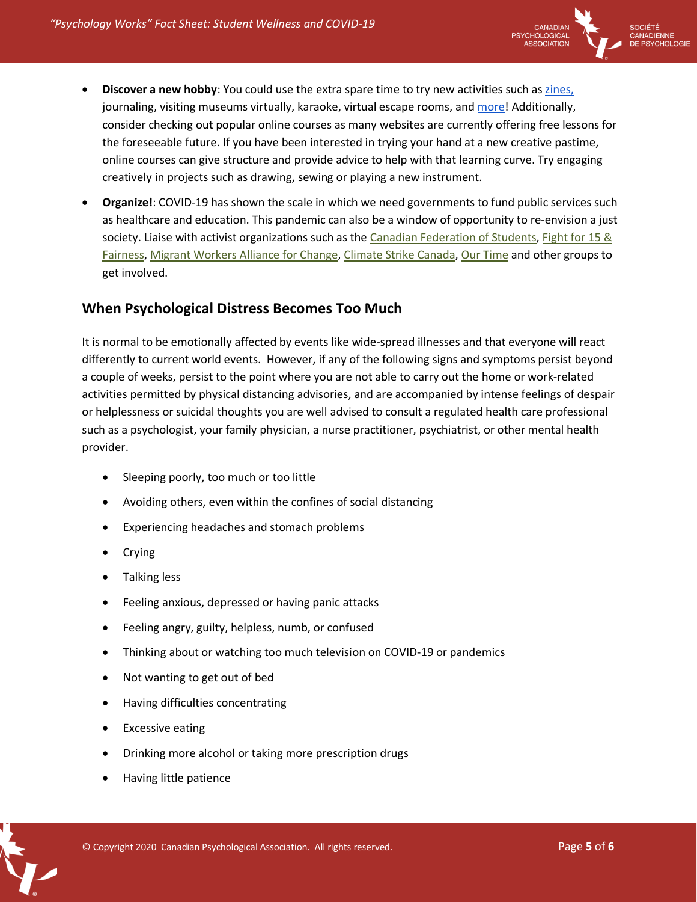

- **Discover a new hobby**: You could use the extra spare time to try new activities such as zines, journaling, visiting museums virtually, karaoke, virtual escape rooms, and more! Additionally, consider checking out popular online courses as many websites are currently offering free lessons for the foreseeable future. If you have been interested in trying your hand at a new creative pastime, online courses can give structure and provide advice to help with that learning curve. Try engaging creatively in projects such as drawing, sewing or playing a new instrument.
- **Organize!**: COVID-19 has shown the scale in which we need governments to fund public services such as healthcare and education. This pandemic can also be a window of opportunity to re-envision a just society. Liaise with activist organizations such as the Canadian Federation of Students, Fight for 15 & Fairness, Migrant Workers Alliance for Change, Climate Strike Canada, Our Time and other groups to get involved.

## **When Psychological Distress Becomes Too Much**

It is normal to be emotionally affected by events like wide-spread illnesses and that everyone will react differently to current world events. However, if any of the following signs and symptoms persist beyond a couple of weeks, persist to the point where you are not able to carry out the home or work-related activities permitted by physical distancing advisories, and are accompanied by intense feelings of despair or helplessness or suicidal thoughts you are well advised to consult a regulated health care professional such as a psychologist, your family physician, a nurse practitioner, psychiatrist, or other mental health provider.

- Sleeping poorly, too much or too little
- Avoiding others, even within the confines of social distancing
- Experiencing headaches and stomach problems
- Crying
- Talking less
- Feeling anxious, depressed or having panic attacks
- Feeling angry, guilty, helpless, numb, or confused
- Thinking about or watching too much television on COVID-19 or pandemics
- Not wanting to get out of bed
- Having difficulties concentrating
- **•** Excessive eating
- Drinking more alcohol or taking more prescription drugs
- Having little patience